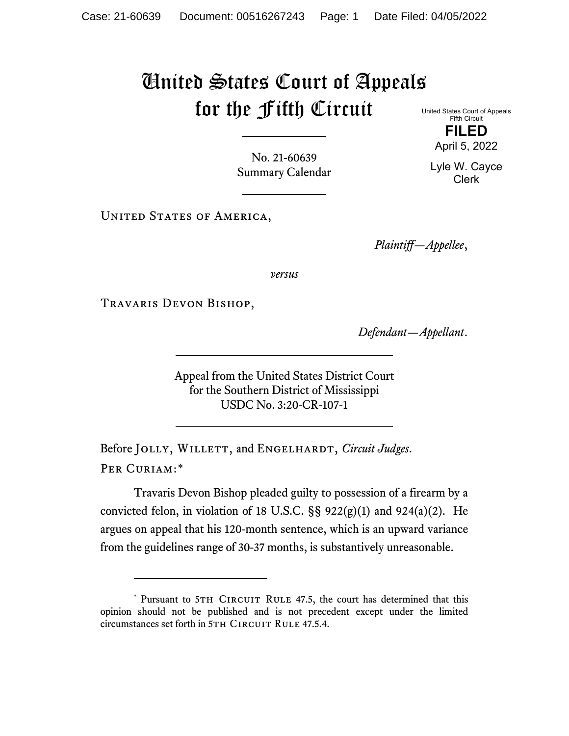## United States Court of Appeals for the Fifth Circuit

No. 21-60639 Summary Calendar

UNITED STATES OF AMERICA,

*Plaintiff—Appellee*,

*versus*

Travaris Devon Bishop,

*Defendant—Appellant*.

Appeal from the United States District Court for the Southern District of Mississippi USDC No. 3:20-CR-107-1

Before JOLLY, WILLETT, and ENGELHARDT, *Circuit Judges*. Per Curiam:[\\*](#page-0-0)

Travaris Devon Bishop pleaded guilty to possession of a firearm by a convicted felon, in violation of 18 U.S.C.  $\S$ § 922(g)(1) and 924(a)(2). He argues on appeal that his 120-month sentence, which is an upward variance from the guidelines range of 30-37 months, is substantively unreasonable.

United States Court of Appeals Fifth Circuit

**FILED** April 5, 2022

Lyle W. Cayce Clerk

<span id="page-0-0"></span><sup>\*</sup> Pursuant to 5TH CIRCUIT RULE 47.5, the court has determined that this opinion should not be published and is not precedent except under the limited circumstances set forth in 5TH CIRCUIT RULE 47.5.4.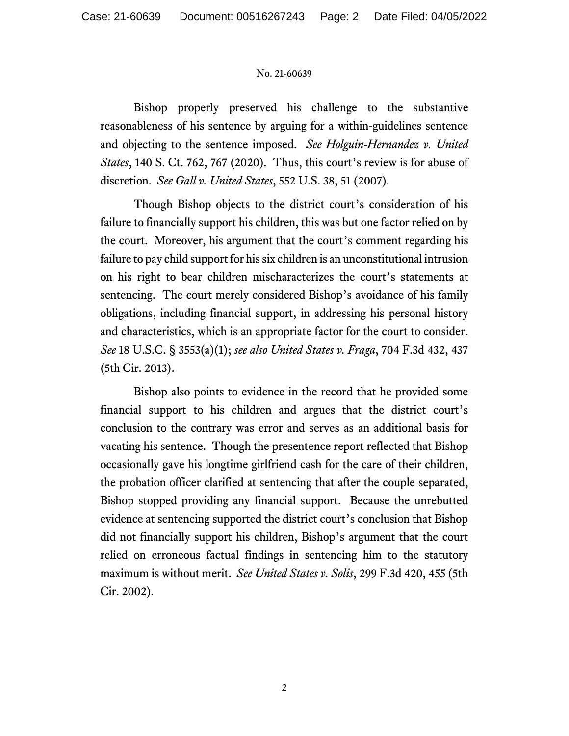## No. 21-60639

Bishop properly preserved his challenge to the substantive reasonableness of his sentence by arguing for a within-guidelines sentence and objecting to the sentence imposed. *See Holguin-Hernandez v. United States*, 140 S. Ct. 762, 767 (2020). Thus, this court's review is for abuse of discretion. *See Gall v. United States*, 552 U.S. 38, 51 (2007).

Though Bishop objects to the district court's consideration of his failure to financially support his children, this was but one factor relied on by the court. Moreover, his argument that the court's comment regarding his failure to pay child support for his six children is an unconstitutional intrusion on his right to bear children mischaracterizes the court's statements at sentencing. The court merely considered Bishop's avoidance of his family obligations, including financial support, in addressing his personal history and characteristics, which is an appropriate factor for the court to consider. *See* 18 U.S.C. § 3553(a)(1); *see also United States v. Fraga*, 704 F.3d 432, 437 (5th Cir. 2013).

Bishop also points to evidence in the record that he provided some financial support to his children and argues that the district court's conclusion to the contrary was error and serves as an additional basis for vacating his sentence. Though the presentence report reflected that Bishop occasionally gave his longtime girlfriend cash for the care of their children, the probation officer clarified at sentencing that after the couple separated, Bishop stopped providing any financial support. Because the unrebutted evidence at sentencing supported the district court's conclusion that Bishop did not financially support his children, Bishop's argument that the court relied on erroneous factual findings in sentencing him to the statutory maximum is without merit. *See United States v. Solis*, 299 F.3d 420, 455 (5th Cir. 2002).